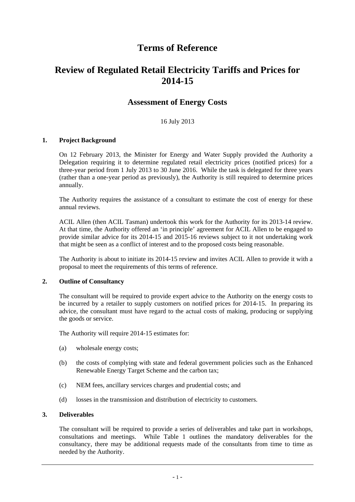# **Terms of Reference**

# **Review of Regulated Retail Electricity Tariffs and Prices for 2014-15**

# **Assessment of Energy Costs**

# 16 July 2013

# **1. Project Background**

On 12 February 2013, the Minister for Energy and Water Supply provided the Authority a Delegation requiring it to determine regulated retail electricity prices (notified prices) for a three-year period from 1 July 2013 to 30 June 2016. While the task is delegated for three years (rather than a one-year period as previously), the Authority is still required to determine prices annually.

The Authority requires the assistance of a consultant to estimate the cost of energy for these annual reviews.

ACIL Allen (then ACIL Tasman) undertook this work for the Authority for its 2013-14 review. At that time, the Authority offered an 'in principle' agreement for ACIL Allen to be engaged to provide similar advice for its 2014-15 and 2015-16 reviews subject to it not undertaking work that might be seen as a conflict of interest and to the proposed costs being reasonable.

The Authority is about to initiate its 2014-15 review and invites ACIL Allen to provide it with a proposal to meet the requirements of this terms of reference.

#### **2. Outline of Consultancy**

The consultant will be required to provide expert advice to the Authority on the energy costs to be incurred by a retailer to supply customers on notified prices for 2014-15. In preparing its advice, the consultant must have regard to the actual costs of making, producing or supplying the goods or service.

The Authority will require 2014-15 estimates for:

- (a) wholesale energy costs;
- (b) the costs of complying with state and federal government policies such as the Enhanced Renewable Energy Target Scheme and the carbon tax;
- (c) NEM fees, ancillary services charges and prudential costs; and
- (d) losses in the transmission and distribution of electricity to customers.

# **3. Deliverables**

The consultant will be required to provide a series of deliverables and take part in workshops, consultations and meetings. While Table 1 outlines the mandatory deliverables for the consultancy, there may be additional requests made of the consultants from time to time as needed by the Authority.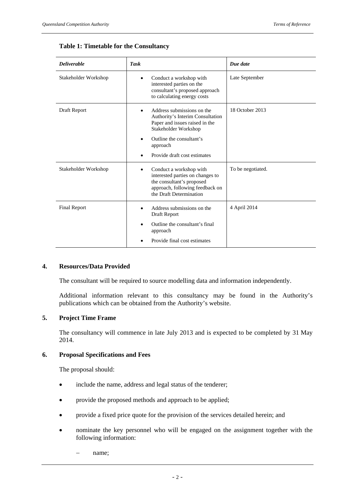| <b>Deliverable</b>   | <b>Task</b>                                                                                                                                                                                      | Due date          |
|----------------------|--------------------------------------------------------------------------------------------------------------------------------------------------------------------------------------------------|-------------------|
| Stakeholder Workshop | Conduct a workshop with<br>٠<br>interested parties on the<br>consultant's proposed approach<br>to calculating energy costs                                                                       | Late September    |
| Draft Report         | Address submissions on the<br>Authority's Interim Consultation<br>Paper and issues raised in the<br>Stakeholder Workshop<br>Outline the consultant's<br>approach<br>Provide draft cost estimates | 18 October 2013   |
| Stakeholder Workshop | Conduct a workshop with<br>interested parties on changes to<br>the consultant's proposed<br>approach, following feedback on<br>the Draft Determination                                           | To be negotiated. |
| <b>Final Report</b>  | Address submissions on the<br>Draft Report<br>Outline the consultant's final<br>approach<br>Provide final cost estimates                                                                         | 4 April 2014      |

# **Table 1: Timetable for the Consultancy**

#### **4. Resources/Data Provided**

The consultant will be required to source modelling data and information independently.

Additional information relevant to this consultancy may be found in the Authority's publications which can be obtained from the Authority's website.

# **5. Project Time Frame**

The consultancy will commence in late July 2013 and is expected to be completed by 31 May 2014.

#### **6. Proposal Specifications and Fees**

The proposal should:

- include the name, address and legal status of the tenderer;
- provide the proposed methods and approach to be applied;
- provide a fixed price quote for the provision of the services detailed herein; and
- nominate the key personnel who will be engaged on the assignment together with the following information:
	- name;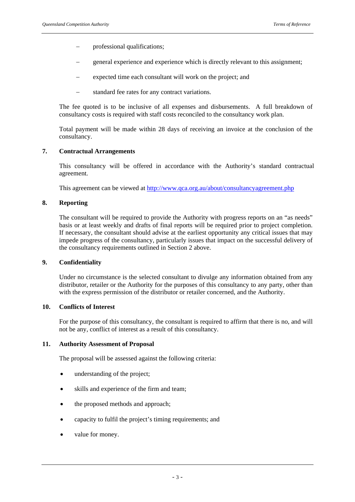- professional qualifications;
- general experience and experience which is directly relevant to this assignment;
- expected time each consultant will work on the project; and
- $\blacksquare$  standard fee rates for any contract variations.

The fee quoted is to be inclusive of all expenses and disbursements. A full breakdown of consultancy costs is required with staff costs reconciled to the consultancy work plan.

Total payment will be made within 28 days of receiving an invoice at the conclusion of the consultancy.

#### **7. Contractual Arrangements**

This consultancy will be offered in accordance with the Authority's standard contractual agreement.

This agreement can be viewed at http://www.qca.org.au/about/consultancyagreement.php

#### **8. Reporting**

The consultant will be required to provide the Authority with progress reports on an "as needs" basis or at least weekly and drafts of final reports will be required prior to project completion. If necessary, the consultant should advise at the earliest opportunity any critical issues that may impede progress of the consultancy, particularly issues that impact on the successful delivery of the consultancy requirements outlined in Section 2 above.

#### **9. Confidentiality**

Under no circumstance is the selected consultant to divulge any information obtained from any distributor, retailer or the Authority for the purposes of this consultancy to any party, other than with the express permission of the distributor or retailer concerned, and the Authority.

#### **10. Conflicts of Interest**

For the purpose of this consultancy, the consultant is required to affirm that there is no, and will not be any, conflict of interest as a result of this consultancy.

#### **11. Authority Assessment of Proposal**

The proposal will be assessed against the following criteria:

- understanding of the project;
- skills and experience of the firm and team;
- the proposed methods and approach;
- capacity to fulfil the project's timing requirements; and
- value for money.